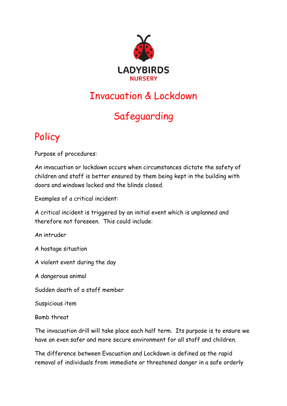

## Invacuation & Lockdown

## Safeguarding

## Policy

Purpose of procedures:

An invacuation or lockdown occurs when circumstances dictate the safety of children and staff is better ensured by them being kept in the building with doors and windows locked and the blinds closed.

Examples of a critical incident:

A critical incident is triggered by an initial event which is unplanned and therefore not foreseen. This could include:

An intruder

A hostage situation

A violent event during the day

A dangerous animal

Sudden death of a staff member

Suspicious item

Bomb threat

The invacuation drill will take place each half term. Its purpose is to ensure we have an even safer and more secure environment for all staff and children.

The difference between Evacuation and Lockdown is defined as the rapid removal of individuals from immediate or threatened danger in a safe orderly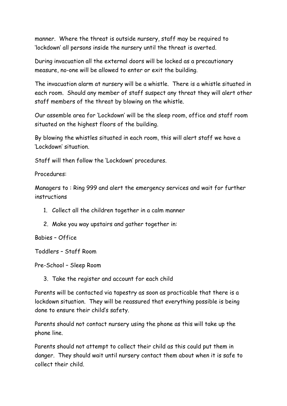manner. Where the threat is outside nursery, staff may be required to 'lockdown' all persons inside the nursery until the threat is averted.

During invacuation all the external doors will be locked as a precautionary measure, no-one will be allowed to enter or exit the building.

The invacuation alarm at nursery will be a whistle. There is a whistle situated in each room. Should any member of staff suspect any threat they will alert other staff members of the threat by blowing on the whistle.

Our assemble area for 'Lockdown' will be the sleep room, office and staff room situated on the highest floors of the building.

By blowing the whistles situated in each room, this will alert staff we have a 'Lockdown' situation.

Staff will then follow the 'Lockdown' procedures.

Procedures:

Managers to : Ring 999 and alert the emergency services and wait for further instructions

- 1. Collect all the children together in a calm manner
- 2. Make you way upstairs and gather together in:

Babies – Office

Toddlers – Staff Room

Pre-School – Sleep Room

3. Take the register and account for each child

Parents will be contacted via tapestry as soon as practicable that there is a lockdown situation. They will be reassured that everything possible is being done to ensure their child's safety.

Parents should not contact nursery using the phone as this will take up the phone line.

Parents should not attempt to collect their child as this could put them in danger. They should wait until nursery contact them about when it is safe to collect their child.